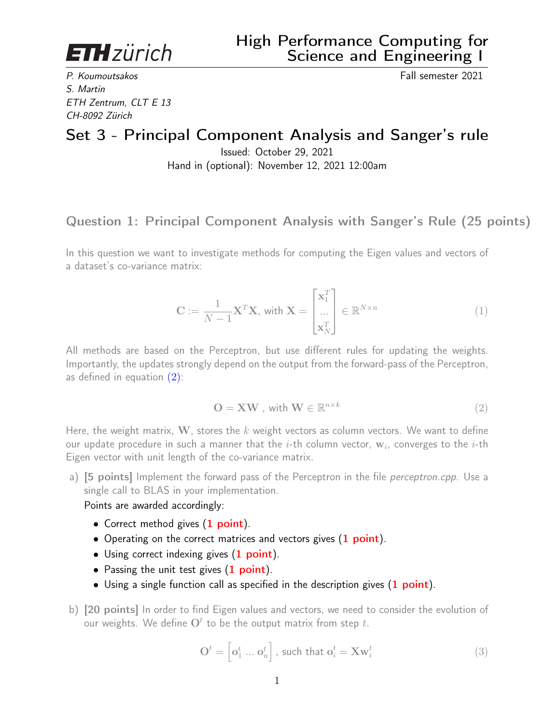**ETH** zürich

P. Koumoutsakos Fall semester 2021 S. Martin ETH Zentrum, CLT E 13 CH-8092 Zürich

# Set 3 - Principal Component Analysis and Sanger's rule

Issued: October 29, 2021 Hand in (optional): November 12, 2021 12:00am

### Question 1: Principal Component Analysis with Sanger's Rule (25 points)

In this question we want to investigate methods for computing the Eigen values and vectors of a dataset's co-variance matrix:

$$
\mathbf{C} := \frac{1}{N-1} \mathbf{X}^T \mathbf{X}, \text{ with } \mathbf{X} = \begin{bmatrix} \mathbf{x}_1^T \\ \dots \\ \mathbf{x}_N^T \end{bmatrix} \in \mathbb{R}^{N \times n}
$$
(1)

All methods are based on the Perceptron, but use different rules for updating the weights. Importantly, the updates strongly depend on the output from the forward-pass of the Perceptron, as defined in equation [\(2\)](#page-0-0):

<span id="page-0-0"></span>
$$
O = \mathbf{X} \mathbf{W}, \text{ with } \mathbf{W} \in \mathbb{R}^{n \times k} \tag{2}
$$

Here, the weight matrix, W, stores the  $k$  weight vectors as column vectors. We want to define our update procedure in such a manner that the  $i\text{-th}$  column vector,  $\mathbf{w}_i$ , converges to the  $i\text{-th}$ Eigen vector with unit length of the co-variance matrix.

a) [5 points] Implement the forward pass of the Perceptron in the file *perceptron.cpp*. Use a single call to BLAS in your implementation.

#### Points are awarded accordingly:

- Correct method gives (1 point).
- Operating on the correct matrices and vectors gives (1 point).
- Using correct indexing gives (1 point).
- Passing the unit test gives (1 point).
- Using a single function call as specified in the description gives  $(1 \text{ point})$ .
- b) [20 points] In order to find Eigen values and vectors, we need to consider the evolution of our weights. We define  $O^t$  to be the output matrix from step  $t$ .

$$
\mathbf{O}^t = \begin{bmatrix} \mathbf{o}_1^t \dots \mathbf{o}_n^t \end{bmatrix}, \text{ such that } \mathbf{o}_i^t = \mathbf{X} \mathbf{w}_i^t \tag{3}
$$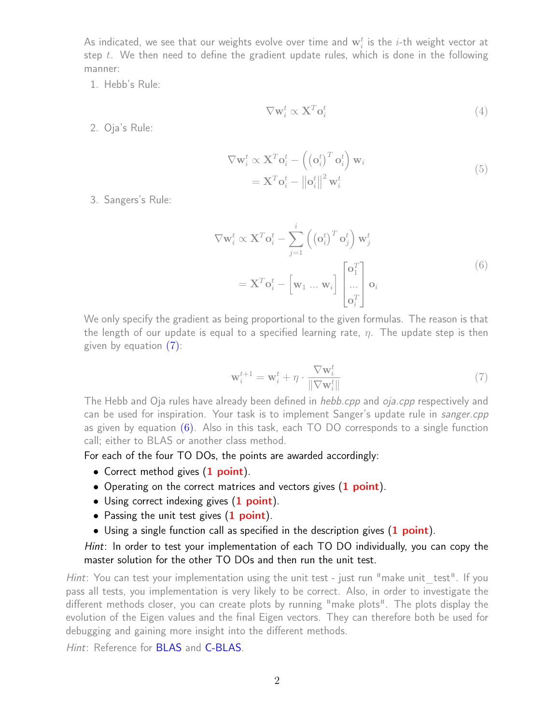As indicated, we see that our weights evolve over time and  $\mathbf{w}_i^t$  is the  $i$ -th weight vector at step  $t$ . We then need to define the gradient update rules, which is done in the following manner:

1. Hebb's Rule:

$$
\nabla \mathbf{w}_i^t \propto \mathbf{X}^T \mathbf{o}_i^t \tag{4}
$$

2. Oja's Rule:

$$
\nabla \mathbf{w}_i^t \propto \mathbf{X}^T \mathbf{o}_i^t - \left( \left( \mathbf{o}_i^t \right)^T \mathbf{o}_i^t \right) \mathbf{w}_i
$$
  
=  $\mathbf{X}^T \mathbf{o}_i^t - ||\mathbf{o}_i^t||^2 \mathbf{w}_i^t$  (5)

3. Sangers's Rule:

$$
\nabla \mathbf{w}_i^t \propto \mathbf{X}^T \mathbf{o}_i^t - \sum_{j=1}^i \left( \left( \mathbf{o}_i^t \right)^T \mathbf{o}_j^t \right) \mathbf{w}_j^t
$$
  
=  $\mathbf{X}^T \mathbf{o}_i^t - \left[ \mathbf{w}_1 \dots \mathbf{w}_i \right] \begin{bmatrix} \mathbf{o}_1^T \\ \dots \\ \mathbf{o}_i^T \end{bmatrix} \mathbf{o}_i$  (6)

<span id="page-1-1"></span>We only specify the gradient as being proportional to the given formulas. The reason is that the length of our update is equal to a specified learning rate,  $\eta$ . The update step is then given by equation [\(7\)](#page-1-0):

<span id="page-1-0"></span>
$$
\mathbf{w}_i^{t+1} = \mathbf{w}_i^t + \eta \cdot \frac{\nabla \mathbf{w}_i^t}{\|\nabla \mathbf{w}_i^t\|} \tag{7}
$$

The Hebb and Oja rules have already been defined in *hebb.cpp* and *oja.cpp* respectively and can be used for inspiration. Your task is to implement Sanger's update rule in sanger.cpp as given by equation  $(6)$ . Also in this task, each TO DO corresponds to a single function call; either to BLAS or another class method.

For each of the four TO DOs, the points are awarded accordingly:

- Correct method gives (1 point).
- Operating on the correct matrices and vectors gives (1 point).
- Using correct indexing gives (1 point).
- Passing the unit test gives  $(1 \text{ point})$ .
- Using a single function call as specified in the description gives  $(1 \text{ point})$ .

#### Hint: In order to test your implementation of each TO DO individually, you can copy the master solution for the other TO DOs and then run the unit test.

Hint: You can test your implementation using the unit test - just run "make unit test". If you pass all tests, you implementation is very likely to be correct. Also, in order to investigate the different methods closer, you can create plots by running "make plots". The plots display the evolution of the Eigen values and the final Eigen vectors. They can therefore both be used for debugging and gaining more insight into the different methods.

Hint: Reference for **[BLAS](http://www.netlib.org/blas/)** and **C-BLAS**.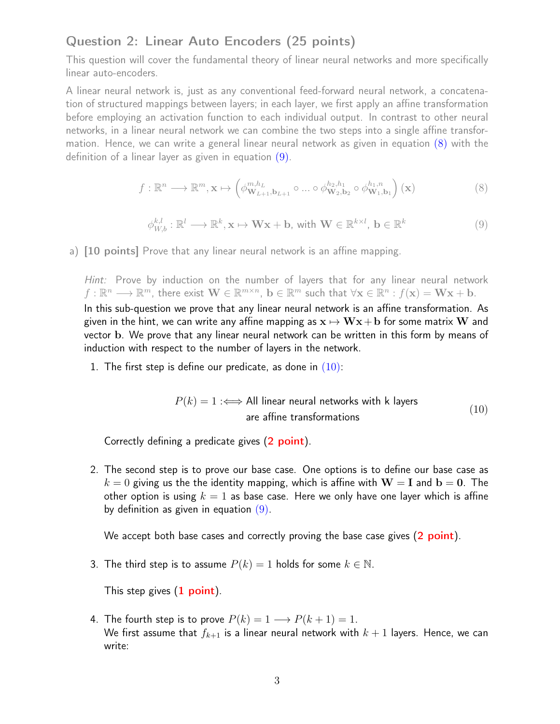## Question 2: Linear Auto Encoders (25 points)

This question will cover the fundamental theory of linear neural networks and more specifically linear auto-encoders.

A linear neural network is, just as any conventional feed-forward neural network, a concatenation of structured mappings between layers; in each layer, we first apply an affine transformation before employing an activation function to each individual output. In contrast to other neural networks, in a linear neural network we can combine the two steps into a single affine transformation. Hence, we can write a general linear neural network as given in equation [\(8\)](#page-2-0) with the definition of a linear layer as given in equation [\(9\)](#page-2-1).

<span id="page-2-0"></span>
$$
f: \mathbb{R}^n \longrightarrow \mathbb{R}^m, \mathbf{x} \mapsto \left(\phi_{\mathbf{W}_{L+1}, \mathbf{b}_{L+1}}^{m, h_L} \circ \dots \circ \phi_{\mathbf{W}_2, \mathbf{b}_2}^{h_2, h_1} \circ \phi_{\mathbf{W}_1, \mathbf{b}_1}^{h_1, n}\right)(\mathbf{x})
$$
(8)

<span id="page-2-1"></span>
$$
\phi_{W,b}^{k,l} : \mathbb{R}^l \longrightarrow \mathbb{R}^k, \mathbf{x} \mapsto \mathbf{W}\mathbf{x} + \mathbf{b}, \text{ with } \mathbf{W} \in \mathbb{R}^{k \times l}, \mathbf{b} \in \mathbb{R}^k
$$
\n(9)

a) [10 points] Prove that any linear neural network is an affine mapping.

Hint: Prove by induction on the number of layers that for any linear neural network  $f: \mathbb{R}^n \longrightarrow \mathbb{R}^m$ , there exist  $\mathbf{W} \in \mathbb{R}^{m \times n}$ ,  $\mathbf{b} \in \mathbb{R}^m$  such that  $\forall \mathbf{x} \in \mathbb{R}^n : f(\mathbf{x}) = \mathbf{W}\mathbf{x} + \mathbf{b}$ . In this sub-question we prove that any linear neural network is an affine transformation. As given in the hint, we can write any affine mapping as  $x \mapsto Wx + b$  for some matrix W and vector b. We prove that any linear neural network can be written in this form by means of induction with respect to the number of layers in the network.

1. The first step is define our predicate, as done in  $(10)$ :

$$
P(k) = 1 \iff \text{All linear neural networks with k layers}
$$
\n
$$
\text{are affine transformations} \tag{10}
$$

<span id="page-2-2"></span>Correctly defining a predicate gives (2 point).

2. The second step is to prove our base case. One options is to define our base case as  $k = 0$  giving us the the identity mapping, which is affine with  $W = I$  and  $b = 0$ . The other option is using  $k = 1$  as base case. Here we only have one layer which is affine by definition as given in equation  $(9)$ .

We accept both base cases and correctly proving the base case gives (2 point).

3. The third step is to assume  $P(k) = 1$  holds for some  $k \in \mathbb{N}$ .

This step gives  $(1$  point).

4. The fourth step is to prove  $P(k) = 1 \longrightarrow P(k+1) = 1$ . We first assume that  $f_{k+1}$  is a linear neural network with  $k+1$  layers. Hence, we can write: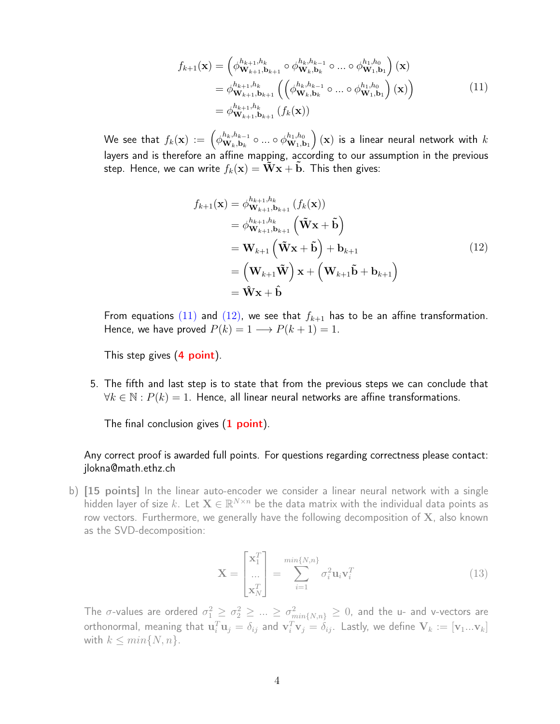$$
f_{k+1}(\mathbf{x}) = \left(\phi_{\mathbf{W}_{k+1},\mathbf{b}_{k+1}}^{h_{k+1},h_k} \circ \phi_{\mathbf{W}_k,\mathbf{b}_k}^{h_k,h_{k-1}} \circ \dots \circ \phi_{\mathbf{W}_1,\mathbf{b}_1}^{h_1,h_0}\right)(\mathbf{x})
$$
  
\n
$$
= \phi_{\mathbf{W}_{k+1},\mathbf{b}_{k+1}}^{h_{k+1},h_k} \left(\left(\phi_{\mathbf{W}_k,\mathbf{b}_k}^{h_k,h_{k-1}} \circ \dots \circ \phi_{\mathbf{W}_1,\mathbf{b}_1}^{h_1,h_0}\right)(\mathbf{x})\right)
$$
  
\n
$$
= \phi_{\mathbf{W}_{k+1},\mathbf{b}_{k+1}}^{h_{k+1},h_k} (f_k(\mathbf{x}))
$$
\n(11)

<span id="page-3-0"></span>We see that  $f_k(\mathbf{x}) := \left( \phi_{\mathbf{W}_k,\mathbf{b}_k}^{h_k,h_{k-1}} \right)$  $\mathbf{W}_k$ , $\mathbf{h}_{k-1}$  o ... o  $\phi_{\mathbf{W}_1,\mathbf{k}}^{h_1,h_0}$  $\mathbf{w}_{1,\mathbf{b}_1}^{h_1,h_0}\Big)$   $(\mathbf{x})$  is a linear neural network with  $k$ layers and is therefore an affine mapping, according to our assumption in the previous step. Hence, we can write  $f_k(\mathbf{x}) = \mathbf{W}\mathbf{x} + \mathbf{b}$ . This then gives:

$$
f_{k+1}(\mathbf{x}) = \phi_{\mathbf{W}_{k+1}, \mathbf{b}_{k+1}}^{h_{k+1}, h_k} (f_k(\mathbf{x}))
$$
  
\n
$$
= \phi_{\mathbf{W}_{k+1}, \mathbf{b}_{k+1}}^{h_{k+1}, h_k} (\tilde{\mathbf{W}} \mathbf{x} + \tilde{\mathbf{b}})
$$
  
\n
$$
= \mathbf{W}_{k+1} (\tilde{\mathbf{W}} \mathbf{x} + \tilde{\mathbf{b}}) + \mathbf{b}_{k+1}
$$
  
\n
$$
= (\mathbf{W}_{k+1} \tilde{\mathbf{W}}) \mathbf{x} + (\mathbf{W}_{k+1} \tilde{\mathbf{b}} + \mathbf{b}_{k+1})
$$
  
\n
$$
= \tilde{\mathbf{W}} \mathbf{x} + \hat{\mathbf{b}}
$$
 (12)

<span id="page-3-1"></span>From equations [\(11\)](#page-3-0) and [\(12\)](#page-3-1), we see that  $f_{k+1}$  has to be an affine transformation. Hence, we have proved  $P(k) = 1 \longrightarrow P(k+1) = 1$ .

This step gives (4 point).

5. The fifth and last step is to state that from the previous steps we can conclude that  $\forall k \in \mathbb{N} : P(k) = 1$ . Hence, all linear neural networks are affine transformations.

The final conclusion gives  $(1$  point).

#### Any correct proof is awarded full points. For questions regarding correctness please contact: jlokna@math.ethz.ch

b) [15 points] In the linear auto-encoder we consider a linear neural network with a single hidden layer of size  $k$ . Let  $\mathbf{X} \in \mathbb{R}^{N \times n}$  be the data matrix with the individual data points as row vectors. Furthermore, we generally have the following decomposition of  $X$ , also known as the SVD-decomposition:

$$
\mathbf{X} = \begin{bmatrix} \mathbf{x}_1^T \\ \dots \\ \mathbf{x}_N^T \end{bmatrix} = \sum_{i=1}^{min\{N,n\}} \sigma_i^2 \mathbf{u}_i \mathbf{v}_i^T
$$
(13)

The  $\sigma$ -values are ordered  $\sigma_1^2\geq\sigma_2^2\geq...\geq\sigma_{min\{N,n\}}^2\geq0$ , and the u- and v-vectors are orthonormal, meaning that  ${\bf u}_i^T{\bf u}_j=\delta_{ij}$  and  ${\bf v}_i^T{\bf v}_j=\delta_{ij}.$  Lastly, we define  ${\bf V}_k:=[{\bf v}_1...{\bf v}_k]$ with  $k \leq min\{N, n\}$ .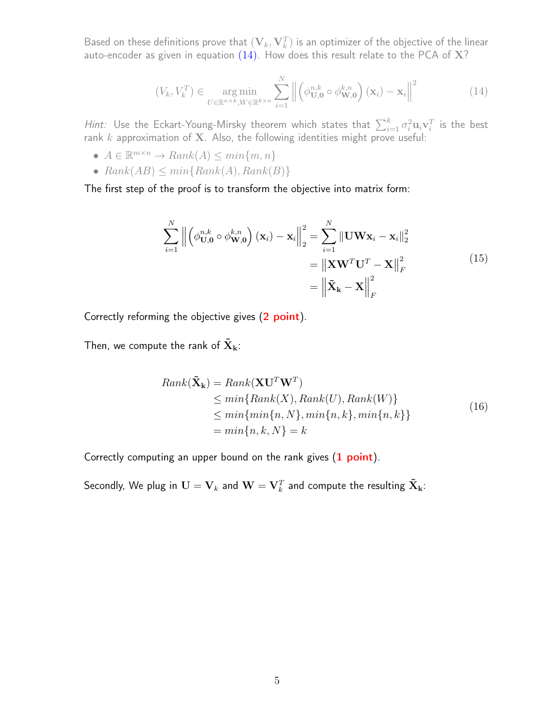Based on these definitions prove that  $(\mathbf V_k, \mathbf V_k^T)$  is an optimizer of the objective of the linear auto-encoder as given in equation  $(14)$ . How does this result relate to the PCA of X?

<span id="page-4-0"></span>
$$
(V_k, V_k^T) \in \underset{U \in \mathbb{R}^{n \times k}, W \in \mathbb{R}^{k \times n}}{\arg \min} \sum_{i=1}^N \left\| \left( \phi_{\mathbf{U},\mathbf{0}}^{n,k} \circ \phi_{\mathbf{W},\mathbf{0}}^{k,n} \right) (\mathbf{x}_i) - \mathbf{x}_i \right\|^2 \tag{14}
$$

Hint: Use the Eckart-Young-Mirsky theorem which states that  $\sum_{i=1}^k \sigma_i^2 \mathbf{u}_i \mathbf{v}_i^T$  is the best rank  $k$  approximation of  $\bf{X}$ . Also, the following identities might prove useful:

- $A \in \mathbb{R}^{m \times n} \to Rank(A) \leq min\{m, n\}$
- $Rank(AB) \le min\{Rank(A), Rank(B)\}$

The first step of the proof is to transform the objective into matrix form:

$$
\sum_{i=1}^{N} \left\| \left( \phi_{\mathbf{U},\mathbf{0}}^{n,k} \circ \phi_{\mathbf{W},\mathbf{0}}^{k,n} \right) (\mathbf{x}_i) - \mathbf{x}_i \right\|_2^2 = \sum_{i=1}^{N} \left\| \mathbf{U} \mathbf{W} \mathbf{x}_i - \mathbf{x}_i \right\|_2^2
$$

$$
= \left\| \mathbf{X} \mathbf{W}^T \mathbf{U}^T - \mathbf{X} \right\|_F^2
$$

$$
= \left\| \tilde{\mathbf{X}}_{\mathbf{k}} - \mathbf{X} \right\|_F^2
$$
(15)

Correctly reforming the objective gives (2 point).

Then, we compute the rank of  $\tilde{\mathbf{X}}_{\mathbf{k}}$ :

$$
Rank(\tilde{\mathbf{X}}_{k}) = Rank(\mathbf{XU}^{T}\mathbf{W}^{T})
$$
  
\n
$$
\leq min\{Rank(X), Rank(U), Rank(W)\}
$$
  
\n
$$
\leq min\{min\{n, N\}, min\{n, k\}, min\{n, k\}\}
$$
  
\n
$$
= min\{n, k, N\} = k
$$
\n(16)

Correctly computing an upper bound on the rank gives  $(1 point)$ .

Secondly, We plug in  $\mathbf{U} = \mathbf{V}_k$  and  $\mathbf{W} = \mathbf{V}_k^T$  and compute the resulting  $\mathbf{\tilde{X}}_{\mathbf{k}}$ :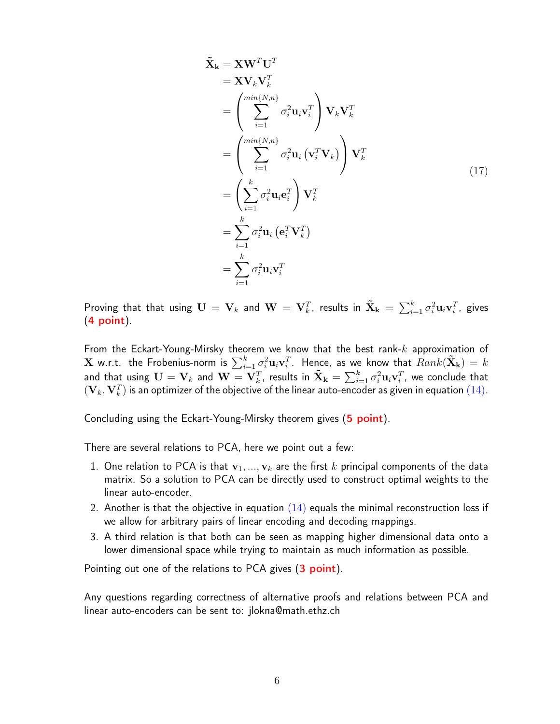$$
\tilde{\mathbf{X}}_{k} = \mathbf{X}\mathbf{W}^{T}\mathbf{U}^{T}
$$
\n
$$
= \mathbf{X}\mathbf{V}_{k}\mathbf{V}_{k}^{T}
$$
\n
$$
= \left(\sum_{i=1}^{min\{N,n\}} \sigma_{i}^{2} \mathbf{u}_{i} \mathbf{v}_{i}^{T}\right) \mathbf{V}_{k}\mathbf{V}_{k}^{T}
$$
\n
$$
= \left(\sum_{i=1}^{min\{N,n\}} \sigma_{i}^{2} \mathbf{u}_{i} (\mathbf{v}_{i}^{T} \mathbf{V}_{k})\right) \mathbf{V}_{k}^{T}
$$
\n
$$
= \left(\sum_{i=1}^{k} \sigma_{i}^{2} \mathbf{u}_{i} \mathbf{e}_{i}^{T}\right) \mathbf{V}_{k}^{T}
$$
\n
$$
= \sum_{i=1}^{k} \sigma_{i}^{2} \mathbf{u}_{i} (\mathbf{e}_{i}^{T} \mathbf{V}_{k}^{T})
$$
\n
$$
= \sum_{i=1}^{k} \sigma_{i}^{2} \mathbf{u}_{i} \mathbf{v}_{i}^{T}
$$
\n(17)

Proving that that using  ${\bf U}={\bf V}_k$  and  ${\bf W}={\bf V}_k^T$ , results in  $\tilde{{\bf X}}_{\bf k}=\sum_{i=1}^k\sigma_i^2{\bf u}_i{\bf v}_i^T$ , gives (4 point).

From the Eckart-Young-Mirsky theorem we know that the best rank- $k$  approximation of  ${\bf X}$  w.r.t. the Frobenius-norm is  $\sum_{i=1}^k \sigma_i^2 {\bf u}_i {\bf v}_i^T$ . Hence, as we know that  $Rank(\tilde{{\bf X}}_{\bf k})=k$ and that using  ${\bf U}={\bf V}_k$  and  ${\bf W}={\bf V}_k^T$ , results in  $\tilde{{\bf X}}_{\bf k}=\sum_{i=1}^k\sigma_i^2{\bf u}_i{\bf v}_i^T$ , we conclude that  $(\mathbf V_k,\mathbf V_k^T)$  is an optimizer of the objective of the linear auto-encoder as given in equation  $(14)$ .

Concluding using the Eckart-Young-Mirsky theorem gives (5 point).

There are several relations to PCA, here we point out a few:

- 1. One relation to PCA is that  $\mathbf{v}_1, ..., \mathbf{v}_k$  are the first k principal components of the data matrix. So a solution to PCA can be directly used to construct optimal weights to the linear auto-encoder.
- 2. Another is that the objective in equation  $(14)$  equals the minimal reconstruction loss if we allow for arbitrary pairs of linear encoding and decoding mappings.
- 3. A third relation is that both can be seen as mapping higher dimensional data onto a lower dimensional space while trying to maintain as much information as possible.

Pointing out one of the relations to PCA gives (3 point).

Any questions regarding correctness of alternative proofs and relations between PCA and linear auto-encoders can be sent to: jlokna@math.ethz.ch